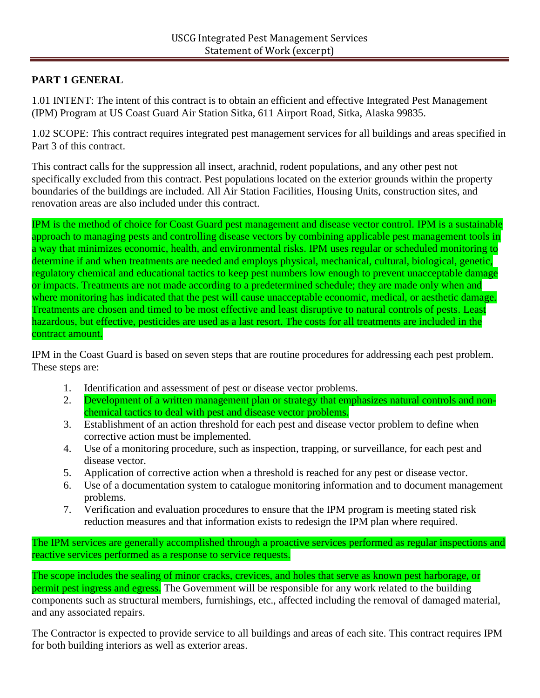# **PART 1 GENERAL**

1.01 INTENT: The intent of this contract is to obtain an efficient and effective Integrated Pest Management (IPM) Program at US Coast Guard Air Station Sitka, 611 Airport Road, Sitka, Alaska 99835.

1.02 SCOPE: This contract requires integrated pest management services for all buildings and areas specified in Part 3 of this contract.

This contract calls for the suppression all insect, arachnid, rodent populations, and any other pest not specifically excluded from this contract. Pest populations located on the exterior grounds within the property boundaries of the buildings are included. All Air Station Facilities, Housing Units, construction sites, and renovation areas are also included under this contract.

IPM is the method of choice for Coast Guard pest management and disease vector control. IPM is a sustainable approach to managing pests and controlling disease vectors by combining applicable pest management tools in a way that minimizes economic, health, and environmental risks. IPM uses regular or scheduled monitoring to determine if and when treatments are needed and employs physical, mechanical, cultural, biological, genetic, regulatory chemical and educational tactics to keep pest numbers low enough to prevent unacceptable damage or impacts. Treatments are not made according to a predetermined schedule; they are made only when and where monitoring has indicated that the pest will cause unacceptable economic, medical, or aesthetic damage. Treatments are chosen and timed to be most effective and least disruptive to natural controls of pests. Least hazardous, but effective, pesticides are used as a last resort. The costs for all treatments are included in the contract amount.

IPM in the Coast Guard is based on seven steps that are routine procedures for addressing each pest problem. These steps are:

- 1. Identification and assessment of pest or disease vector problems.
- 2. Development of a written management plan or strategy that emphasizes natural controls and nonchemical tactics to deal with pest and disease vector problems.
- 3. Establishment of an action threshold for each pest and disease vector problem to define when corrective action must be implemented.
- 4. Use of a monitoring procedure, such as inspection, trapping, or surveillance, for each pest and disease vector.
- 5. Application of corrective action when a threshold is reached for any pest or disease vector.
- 6. Use of a documentation system to catalogue monitoring information and to document management problems.
- 7. Verification and evaluation procedures to ensure that the IPM program is meeting stated risk reduction measures and that information exists to redesign the IPM plan where required.

The IPM services are generally accomplished through a proactive services performed as regular inspections and reactive services performed as a response to service requests.

The scope includes the sealing of minor cracks, crevices, and holes that serve as known pest harborage, or permit pest ingress and egress. The Government will be responsible for any work related to the building components such as structural members, furnishings, etc., affected including the removal of damaged material, and any associated repairs.

The Contractor is expected to provide service to all buildings and areas of each site. This contract requires IPM for both building interiors as well as exterior areas.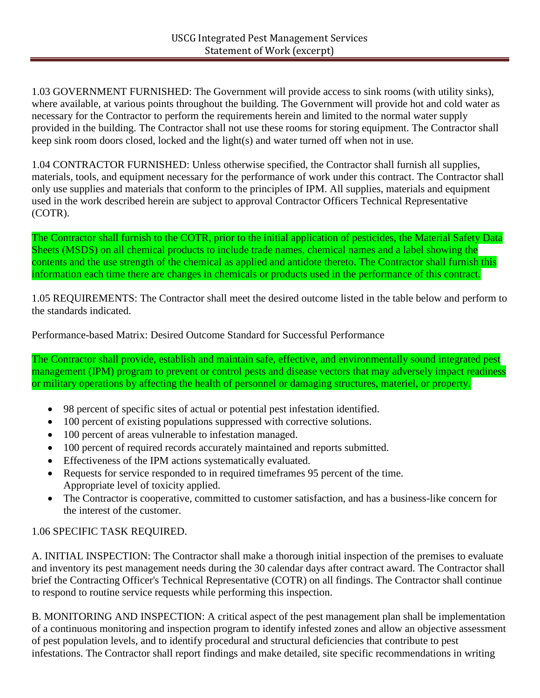1.03 GOVERNMENT FURNISHED: The Government will provide access to sink rooms (with utility sinks), where available, at various points throughout the building. The Government will provide hot and cold water as necessary for the Contractor to perform the requirements herein and limited to the normal water supply provided in the building. The Contractor shall not use these rooms for storing equipment. The Contractor shall keep sink room doors closed, locked and the light(s) and water turned off when not in use.

1.04 CONTRACTOR FURNISHED: Unless otherwise specified, the Contractor shall furnish all supplies, materials, tools, and equipment necessary for the performance of work under this contract. The Contractor shall only use supplies and materials that conform to the principles of IPM. All supplies, materials and equipment used in the work described herein are subject to approval Contractor Officers Technical Representative (COTR).

The Contractor shall furnish to the COTR, prior to the initial application of pesticides, the Material Safety Data Sheets (MSDS) on all chemical products to include trade names, chemical names and a label showing the contents and the use strength of the chemical as applied and antidote thereto. The Contractor shall furnish this information each time there are changes in chemicals or products used in the performance of this contract.

1.05 REQUIREMENTS: The Contractor shall meet the desired outcome listed in the table below and perform to the standards indicated.

Performance-based Matrix: Desired Outcome Standard for Successful Performance

The Contractor shall provide, establish and maintain safe, effective, and environmentally sound integrated pest management (IPM) program to prevent or control pests and disease vectors that may adversely impact readiness or military operations by affecting the health of personnel or damaging structures, materiel, or property.

- 98 percent of specific sites of actual or potential pest infestation identified.
- 100 percent of existing populations suppressed with corrective solutions.
- 100 percent of areas vulnerable to infestation managed.
- 100 percent of required records accurately maintained and reports submitted.
- Effectiveness of the IPM actions systematically evaluated.
- Requests for service responded to in required timeframes 95 percent of the time. Appropriate level of toxicity applied.
- The Contractor is cooperative, committed to customer satisfaction, and has a business-like concern for the interest of the customer.

## 1.06 SPECIFIC TASK REQUIRED.

A. INITIAL INSPECTION: The Contractor shall make a thorough initial inspection of the premises to evaluate and inventory its pest management needs during the 30 calendar days after contract award. The Contractor shall brief the Contracting Officer's Technical Representative (COTR) on all findings. The Contractor shall continue to respond to routine service requests while performing this inspection.

B. MONITORING AND INSPECTION: A critical aspect of the pest management plan shall be implementation of a continuous monitoring and inspection program to identify infested zones and allow an objective assessment of pest population levels, and to identify procedural and structural deficiencies that contribute to pest infestations. The Contractor shall report findings and make detailed, site specific recommendations in writing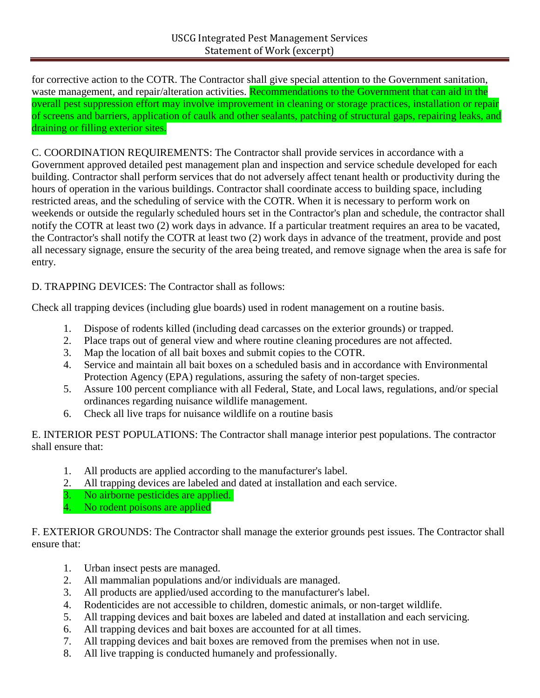for corrective action to the COTR. The Contractor shall give special attention to the Government sanitation, waste management, and repair/alteration activities. Recommendations to the Government that can aid in the overall pest suppression effort may involve improvement in cleaning or storage practices, installation or repair of screens and barriers, application of caulk and other sealants, patching of structural gaps, repairing leaks, and draining or filling exterior sites.

C. COORDINATION REQUIREMENTS: The Contractor shall provide services in accordance with a Government approved detailed pest management plan and inspection and service schedule developed for each building. Contractor shall perform services that do not adversely affect tenant health or productivity during the hours of operation in the various buildings. Contractor shall coordinate access to building space, including restricted areas, and the scheduling of service with the COTR. When it is necessary to perform work on weekends or outside the regularly scheduled hours set in the Contractor's plan and schedule, the contractor shall notify the COTR at least two (2) work days in advance. If a particular treatment requires an area to be vacated, the Contractor's shall notify the COTR at least two (2) work days in advance of the treatment, provide and post all necessary signage, ensure the security of the area being treated, and remove signage when the area is safe for entry.

D. TRAPPING DEVICES: The Contractor shall as follows:

Check all trapping devices (including glue boards) used in rodent management on a routine basis.

- 1. Dispose of rodents killed (including dead carcasses on the exterior grounds) or trapped.
- 2. Place traps out of general view and where routine cleaning procedures are not affected.
- 3. Map the location of all bait boxes and submit copies to the COTR.
- 4. Service and maintain all bait boxes on a scheduled basis and in accordance with Environmental Protection Agency (EPA) regulations, assuring the safety of non-target species.
- 5. Assure 100 percent compliance with all Federal, State, and Local laws, regulations, and/or special ordinances regarding nuisance wildlife management.
- 6. Check all live traps for nuisance wildlife on a routine basis

E. INTERIOR PEST POPULATIONS: The Contractor shall manage interior pest populations. The contractor shall ensure that:

- 1. All products are applied according to the manufacturer's label.
- 2. All trapping devices are labeled and dated at installation and each service.
- 3. No airborne pesticides are applied.
- 4. No rodent poisons are applied

F. EXTERIOR GROUNDS: The Contractor shall manage the exterior grounds pest issues. The Contractor shall ensure that:

- 1. Urban insect pests are managed.
- 2. All mammalian populations and/or individuals are managed.
- 3. All products are applied/used according to the manufacturer's label.
- 4. Rodenticides are not accessible to children, domestic animals, or non-target wildlife.
- 5. All trapping devices and bait boxes are labeled and dated at installation and each servicing.
- 6. All trapping devices and bait boxes are accounted for at all times.
- 7. All trapping devices and bait boxes are removed from the premises when not in use.
- 8. All live trapping is conducted humanely and professionally.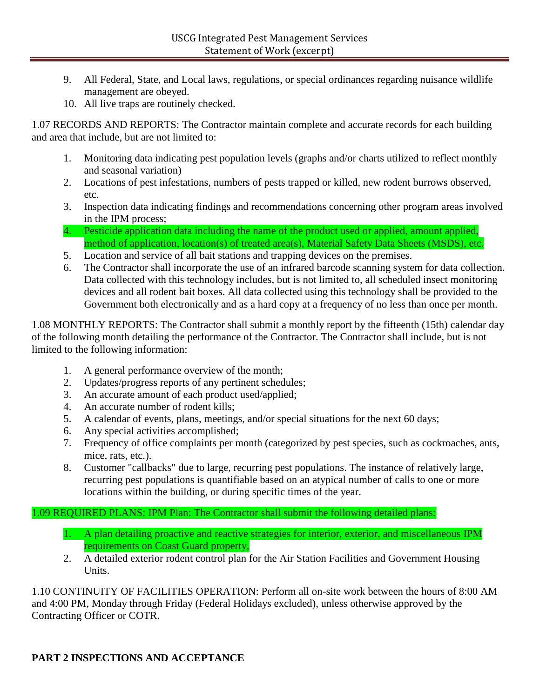- 9. All Federal, State, and Local laws, regulations, or special ordinances regarding nuisance wildlife management are obeyed.
- 10. All live traps are routinely checked.

1.07 RECORDS AND REPORTS: The Contractor maintain complete and accurate records for each building and area that include, but are not limited to:

- 1. Monitoring data indicating pest population levels (graphs and/or charts utilized to reflect monthly and seasonal variation)
- 2. Locations of pest infestations, numbers of pests trapped or killed, new rodent burrows observed, etc.
- 3. Inspection data indicating findings and recommendations concerning other program areas involved in the IPM process;
- 4. Pesticide application data including the name of the product used or applied, amount applied, method of application, location(s) of treated area(s), Material Safety Data Sheets (MSDS), etc.
- 5. Location and service of all bait stations and trapping devices on the premises.
- 6. The Contractor shall incorporate the use of an infrared barcode scanning system for data collection. Data collected with this technology includes, but is not limited to, all scheduled insect monitoring devices and all rodent bait boxes. All data collected using this technology shall be provided to the Government both electronically and as a hard copy at a frequency of no less than once per month.

1.08 MONTHLY REPORTS: The Contractor shall submit a monthly report by the fifteenth (15th) calendar day of the following month detailing the performance of the Contractor. The Contractor shall include, but is not limited to the following information:

- 1. A general performance overview of the month;
- 2. Updates/progress reports of any pertinent schedules;
- 3. An accurate amount of each product used/applied;
- 4. An accurate number of rodent kills;
- 5. A calendar of events, plans, meetings, and/or special situations for the next 60 days;
- 6. Any special activities accomplished;
- 7. Frequency of office complaints per month (categorized by pest species, such as cockroaches, ants, mice, rats, etc.).
- 8. Customer "callbacks" due to large, recurring pest populations. The instance of relatively large, recurring pest populations is quantifiable based on an atypical number of calls to one or more locations within the building, or during specific times of the year.

#### 1.09 REQUIRED PLANS: IPM Plan: The Contractor shall submit the following detailed plans:

- 1. A plan detailing proactive and reactive strategies for interior, exterior, and miscellaneous IPM requirements on Coast Guard property,
- 2. A detailed exterior rodent control plan for the Air Station Facilities and Government Housing Units.

1.10 CONTINUITY OF FACILITIES OPERATION: Perform all on-site work between the hours of 8:00 AM and 4:00 PM, Monday through Friday (Federal Holidays excluded), unless otherwise approved by the Contracting Officer or COTR.

## **PART 2 INSPECTIONS AND ACCEPTANCE**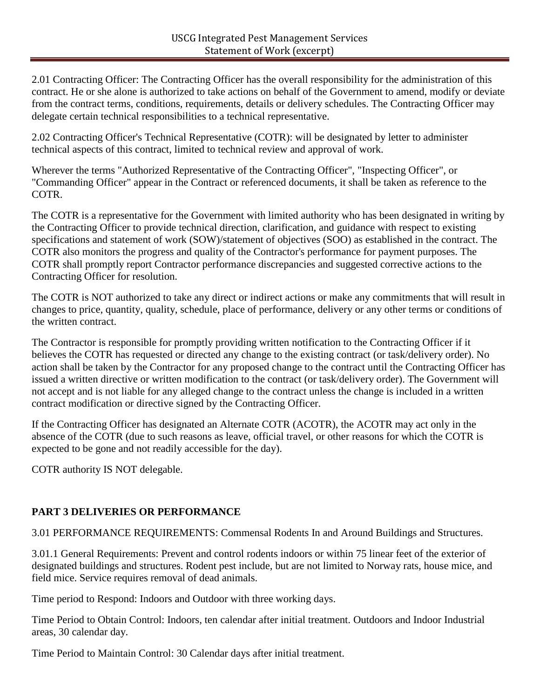2.01 Contracting Officer: The Contracting Officer has the overall responsibility for the administration of this contract. He or she alone is authorized to take actions on behalf of the Government to amend, modify or deviate from the contract terms, conditions, requirements, details or delivery schedules. The Contracting Officer may delegate certain technical responsibilities to a technical representative.

2.02 Contracting Officer's Technical Representative (COTR): will be designated by letter to administer technical aspects of this contract, limited to technical review and approval of work.

Wherever the terms "Authorized Representative of the Contracting Officer", "Inspecting Officer", or "Commanding Officer" appear in the Contract or referenced documents, it shall be taken as reference to the COTR.

The COTR is a representative for the Government with limited authority who has been designated in writing by the Contracting Officer to provide technical direction, clarification, and guidance with respect to existing specifications and statement of work (SOW)/statement of objectives (SOO) as established in the contract. The COTR also monitors the progress and quality of the Contractor's performance for payment purposes. The COTR shall promptly report Contractor performance discrepancies and suggested corrective actions to the Contracting Officer for resolution.

The COTR is NOT authorized to take any direct or indirect actions or make any commitments that will result in changes to price, quantity, quality, schedule, place of performance, delivery or any other terms or conditions of the written contract.

The Contractor is responsible for promptly providing written notification to the Contracting Officer if it believes the COTR has requested or directed any change to the existing contract (or task/delivery order). No action shall be taken by the Contractor for any proposed change to the contract until the Contracting Officer has issued a written directive or written modification to the contract (or task/delivery order). The Government will not accept and is not liable for any alleged change to the contract unless the change is included in a written contract modification or directive signed by the Contracting Officer.

If the Contracting Officer has designated an Alternate COTR (ACOTR), the ACOTR may act only in the absence of the COTR (due to such reasons as leave, official travel, or other reasons for which the COTR is expected to be gone and not readily accessible for the day).

COTR authority IS NOT delegable.

## **PART 3 DELIVERIES OR PERFORMANCE**

3.01 PERFORMANCE REQUIREMENTS: Commensal Rodents In and Around Buildings and Structures.

3.01.1 General Requirements: Prevent and control rodents indoors or within 75 linear feet of the exterior of designated buildings and structures. Rodent pest include, but are not limited to Norway rats, house mice, and field mice. Service requires removal of dead animals.

Time period to Respond: Indoors and Outdoor with three working days.

Time Period to Obtain Control: Indoors, ten calendar after initial treatment. Outdoors and Indoor Industrial areas, 30 calendar day.

Time Period to Maintain Control: 30 Calendar days after initial treatment.